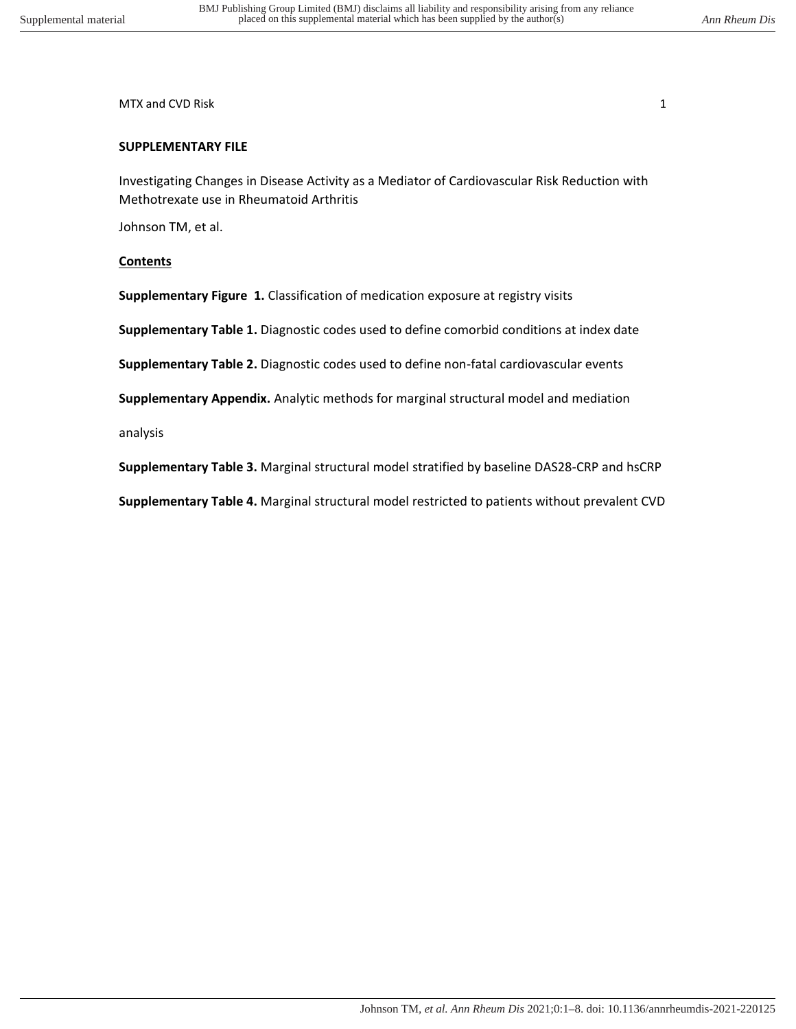MTX and CVD Risk 1 and 2008 and 2008 and 2008 and 2008 and 2008 and 2008 and 2008 and 2008 and 2008 and 2008 and 2008 and 2008 and 2008 and 2008 and 2008 and 2008 and 2008 and 2008 and 2008 and 2008 and 2008 and 2008 and 2

# **SUPPLEMENTARY FILE**

Investigating Changes in Disease Activity as a Mediator of Cardiovascular Risk Reduction with Methotrexate use in Rheumatoid Arthritis

Johnson TM, et al.

# **Contents**

**Supplementary Figure 1.** Classification of medication exposure at registry visits

**Supplementary Table 1.** Diagnostic codes used to define comorbid conditions at index date

**Supplementary Table 2.** Diagnostic codes used to define non-fatal cardiovascular events

**Supplementary Appendix.** Analytic methods for marginal structural model and mediation

analysis

**Supplementary Table 3.** Marginal structural model stratified by baseline DAS28-CRP and hsCRP

**Supplementary Table 4.** Marginal structural model restricted to patients without prevalent CVD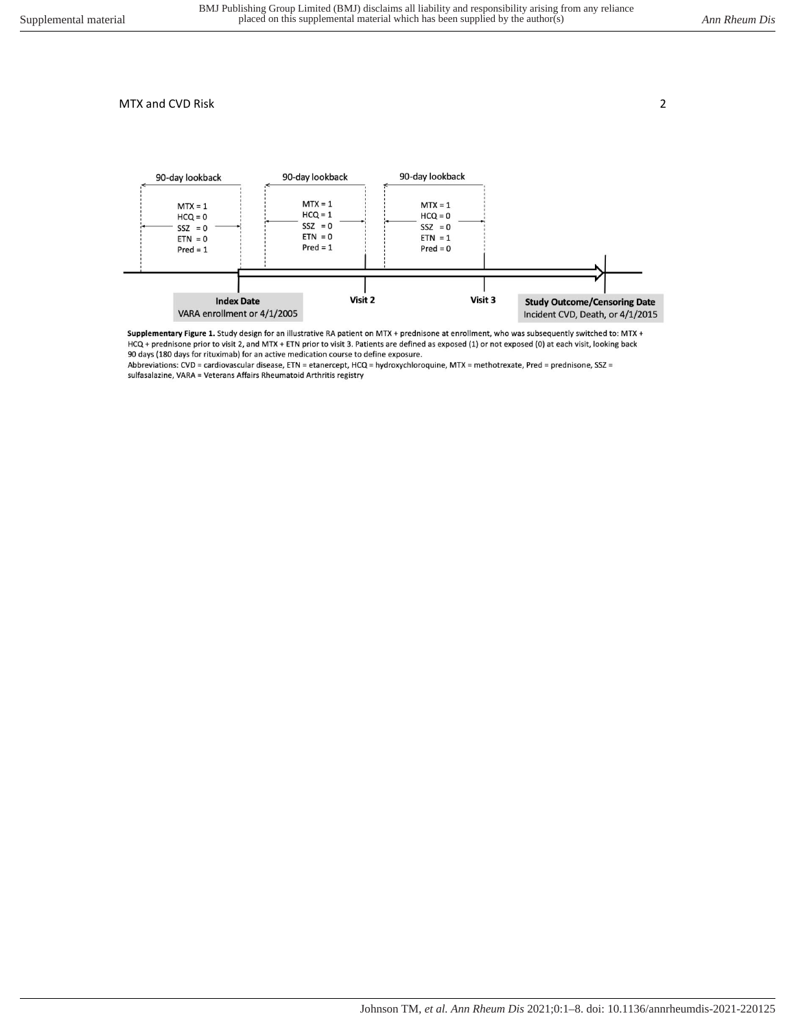

Supplementary Figure 1. Study design for an illustrative RA patient on MTX + prednisone at enrollment, who was subsequently switched to: MTX + HCQ + prednisone prior to visit 2, and MTX + ETN prior to visit 3. Patients are defined as exposed (1) or not exposed (0) at each visit, looking back 90 days (180 days for rituximab) for an active medication course to define exposure.

Abbreviations: CVD = cardiovascular disease, ETN = etanercept, HCQ = hydroxychloroquine, MTX = methotrexate, Pred = prednisone, SSZ = sulfasalazine, VARA = Veterans Affairs Rheumatoid Arthritis registry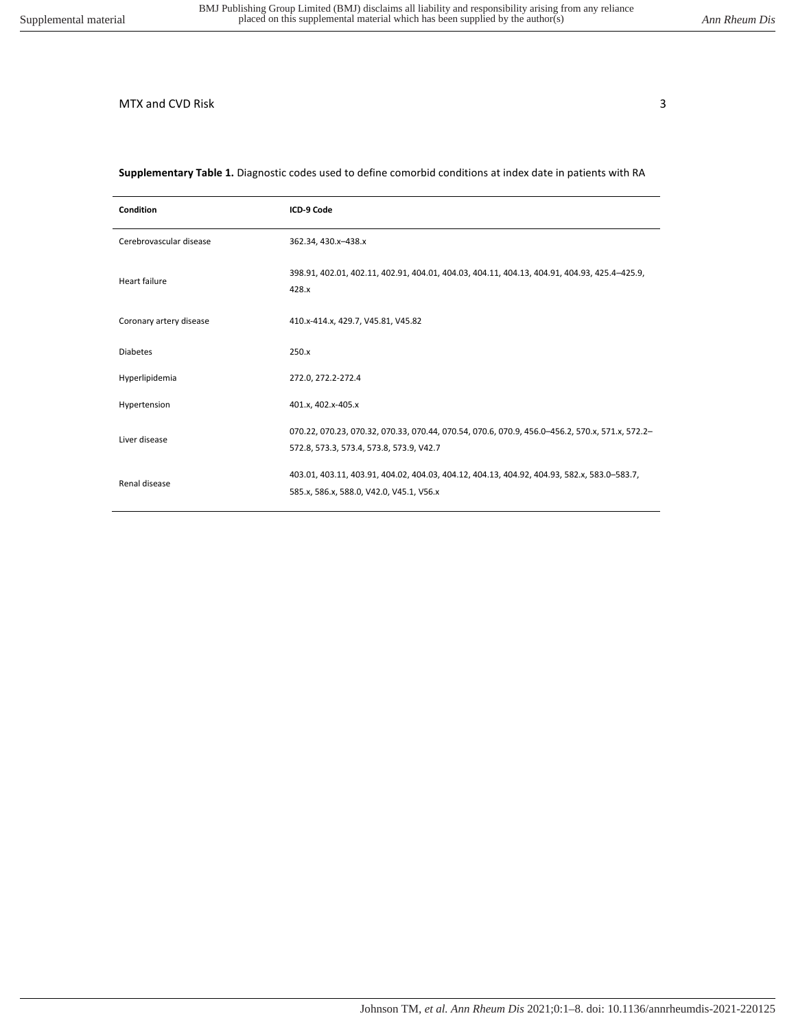### **Supplementary Table 1.** Diagnostic codes used to define comorbid conditions at index date in patients with RA

| <b>Condition</b>        | ICD-9 Code                                                                                                                                  |
|-------------------------|---------------------------------------------------------------------------------------------------------------------------------------------|
| Cerebrovascular disease | 362.34, 430.x-438.x                                                                                                                         |
| Heart failure           | 398.91, 402.01, 402.11, 402.91, 404.01, 404.03, 404.11, 404.13, 404.91, 404.93, 425.4-425.9,<br>428.x                                       |
| Coronary artery disease | 410.x-414.x, 429.7, V45.81, V45.82                                                                                                          |
| <b>Diabetes</b>         | 250.x                                                                                                                                       |
| Hyperlipidemia          | 272.0, 272.2-272.4                                                                                                                          |
| Hypertension            | 401.x, 402.x-405.x                                                                                                                          |
| Liver disease           | 070.22, 070.23, 070.32, 070.33, 070.44, 070.54, 070.6, 070.9, 456.0-456.2, 570.x, 571.x, 572.2-<br>572.8, 573.3, 573.4, 573.8, 573.9, V42.7 |
| Renal disease           | 403.01, 403.11, 403.91, 404.02, 404.03, 404.12, 404.13, 404.92, 404.93, 582.x, 583.0-583.7,<br>585.x, 586.x, 588.0, V42.0, V45.1, V56.x     |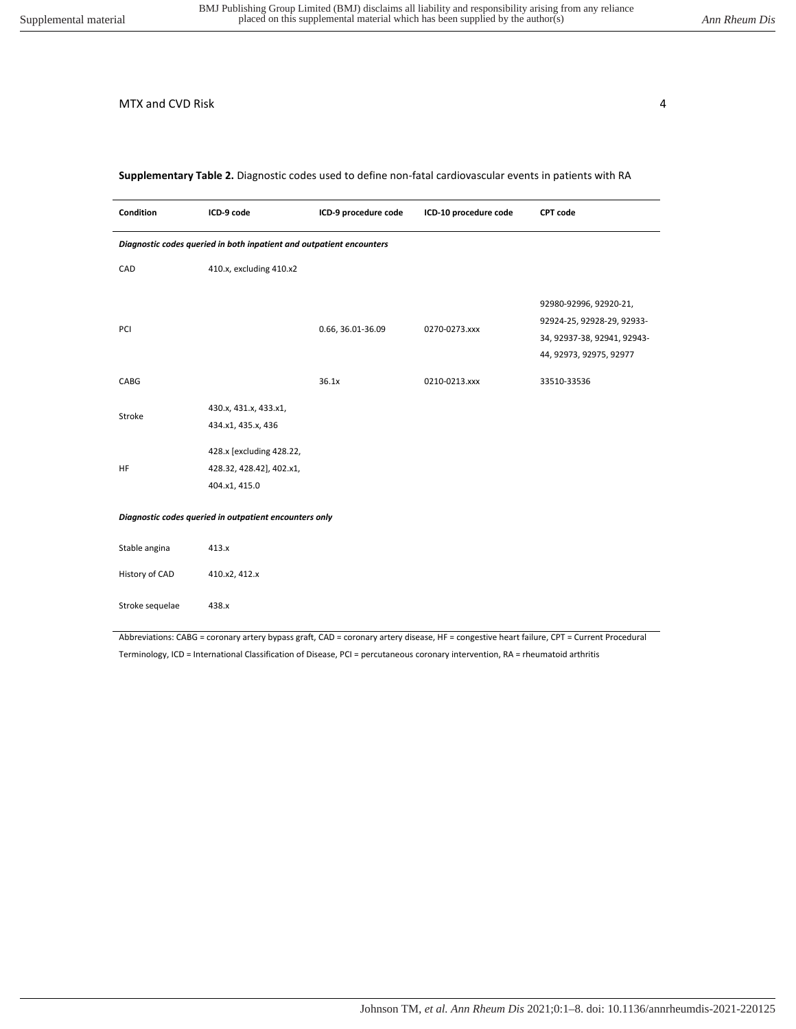**Supplementary Table 2.** Diagnostic codes used to define non-fatal cardiovascular events in patients with RA

| Condition                                                            | ICD-9 code                                                            | ICD-9 procedure code | ICD-10 procedure code | <b>CPT</b> code                                                                                                |
|----------------------------------------------------------------------|-----------------------------------------------------------------------|----------------------|-----------------------|----------------------------------------------------------------------------------------------------------------|
| Diagnostic codes queried in both inpatient and outpatient encounters |                                                                       |                      |                       |                                                                                                                |
| CAD                                                                  | 410.x, excluding 410.x2                                               |                      |                       |                                                                                                                |
| PCI                                                                  |                                                                       | 0.66, 36.01-36.09    | 0270-0273.xxx         | 92980-92996, 92920-21,<br>92924-25, 92928-29, 92933-<br>34, 92937-38, 92941, 92943-<br>44, 92973, 92975, 92977 |
| CABG                                                                 |                                                                       | 36.1x                | 0210-0213.xxx         | 33510-33536                                                                                                    |
| Stroke                                                               | 430.x, 431.x, 433.x1,<br>434.x1, 435.x, 436                           |                      |                       |                                                                                                                |
| HF                                                                   | 428.x [excluding 428.22,<br>428.32, 428.42], 402.x1,<br>404.x1, 415.0 |                      |                       |                                                                                                                |
| Diagnostic codes queried in outpatient encounters only               |                                                                       |                      |                       |                                                                                                                |
| Stable angina                                                        | 413.x                                                                 |                      |                       |                                                                                                                |
| History of CAD                                                       | 410.x2, 412.x                                                         |                      |                       |                                                                                                                |
| Stroke sequelae                                                      | 438.x                                                                 |                      |                       |                                                                                                                |

Abbreviations: CABG = coronary artery bypass graft, CAD = coronary artery disease, HF = congestive heart failure, CPT = Current Procedural Terminology, ICD = International Classification of Disease, PCI = percutaneous coronary intervention, RA = rheumatoid arthritis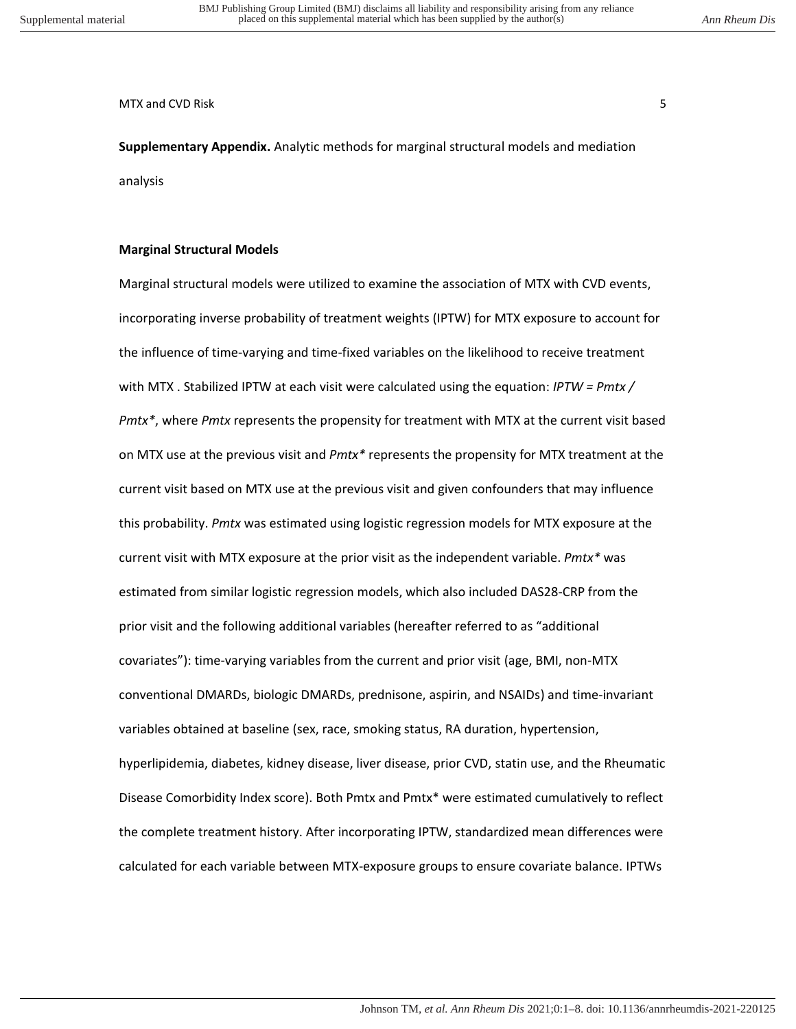MTX and CVD Risk 5 and SMTX and CVD Risk 5 and  $\sim$  5 and 5 and 5 and 5 and 5 and 5 and 5 and 5 and 5 and 5 and 5 and 5 and 5 and 5 and 5 and 5 and 5 and 5 and 5 and 5 and 5 and 5 and 5 and 5 and 5 and 5 and 5 and 5 and 5

**Supplementary Appendix.** Analytic methods for marginal structural models and mediation analysis

## **Marginal Structural Models**

Marginal structural models were utilized to examine the association of MTX with CVD events, incorporating inverse probability of treatment weights (IPTW) for MTX exposure to account for the influence of time-varying and time-fixed variables on the likelihood to receive treatment with MTX . Stabilized IPTW at each visit were calculated using the equation: *IPTW = Pmtx / Pmtx\**, where *Pmtx* represents the propensity for treatment with MTX at the current visit based on MTX use at the previous visit and *Pmtx\** represents the propensity for MTX treatment at the current visit based on MTX use at the previous visit and given confounders that may influence this probability. *Pmtx* was estimated using logistic regression models for MTX exposure at the current visit with MTX exposure at the prior visit as the independent variable. *Pmtx\** was estimated from similar logistic regression models, which also included DAS28-CRP from the prior visit and the following additional variables (hereafter referred to as "additional covariates"): time-varying variables from the current and prior visit (age, BMI, non-MTX conventional DMARDs, biologic DMARDs, prednisone, aspirin, and NSAIDs) and time-invariant variables obtained at baseline (sex, race, smoking status, RA duration, hypertension, hyperlipidemia, diabetes, kidney disease, liver disease, prior CVD, statin use, and the Rheumatic Disease Comorbidity Index score). Both Pmtx and Pmtx\* were estimated cumulatively to reflect the complete treatment history. After incorporating IPTW, standardized mean differences were calculated for each variable between MTX-exposure groups to ensure covariate balance. IPTWs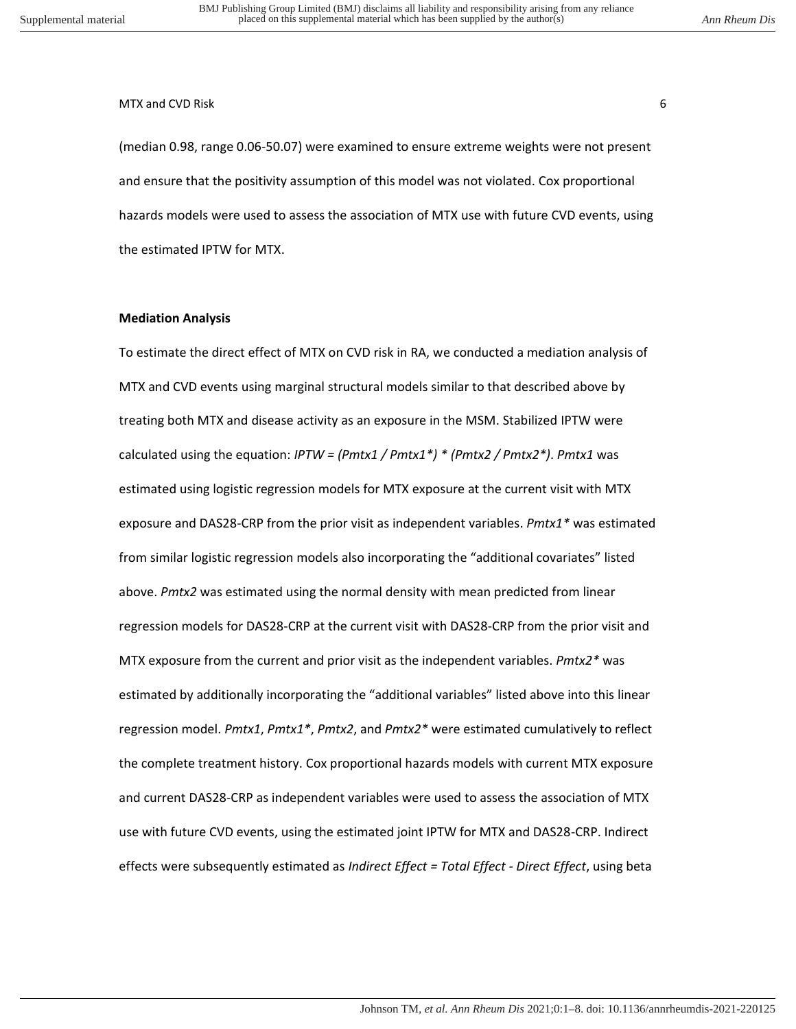#### MTX and CVD Risk 6 to the contract of the contract of the contract of the contract of the contract of the contract of the contract of the contract of the contract of the contract of the contract of the contract of the cont

(median 0.98, range 0.06-50.07) were examined to ensure extreme weights were not present and ensure that the positivity assumption of this model was not violated. Cox proportional hazards models were used to assess the association of MTX use with future CVD events, using the estimated IPTW for MTX.

#### **Mediation Analysis**

To estimate the direct effect of MTX on CVD risk in RA, we conducted a mediation analysis of MTX and CVD events using marginal structural models similar to that described above by treating both MTX and disease activity as an exposure in the MSM. Stabilized IPTW were calculated using the equation: *IPTW = (Pmtx1 / Pmtx1\*) \* (Pmtx2 / Pmtx2\*)*. *Pmtx1* was estimated using logistic regression models for MTX exposure at the current visit with MTX exposure and DAS28-CRP from the prior visit as independent variables. *Pmtx1\** was estimated from similar logistic regression models also incorporating the "additional covariates" listed above. *Pmtx2* was estimated using the normal density with mean predicted from linear regression models for DAS28-CRP at the current visit with DAS28-CRP from the prior visit and MTX exposure from the current and prior visit as the independent variables. *Pmtx2\** was estimated by additionally incorporating the "additional variables" listed above into this linear regression model. *Pmtx1*, *Pmtx1\**, *Pmtx2*, and *Pmtx2\** were estimated cumulatively to reflect the complete treatment history. Cox proportional hazards models with current MTX exposure and current DAS28-CRP as independent variables were used to assess the association of MTX use with future CVD events, using the estimated joint IPTW for MTX and DAS28-CRP. Indirect effects were subsequently estimated as *Indirect Effect = Total Effect - Direct Effect*, using beta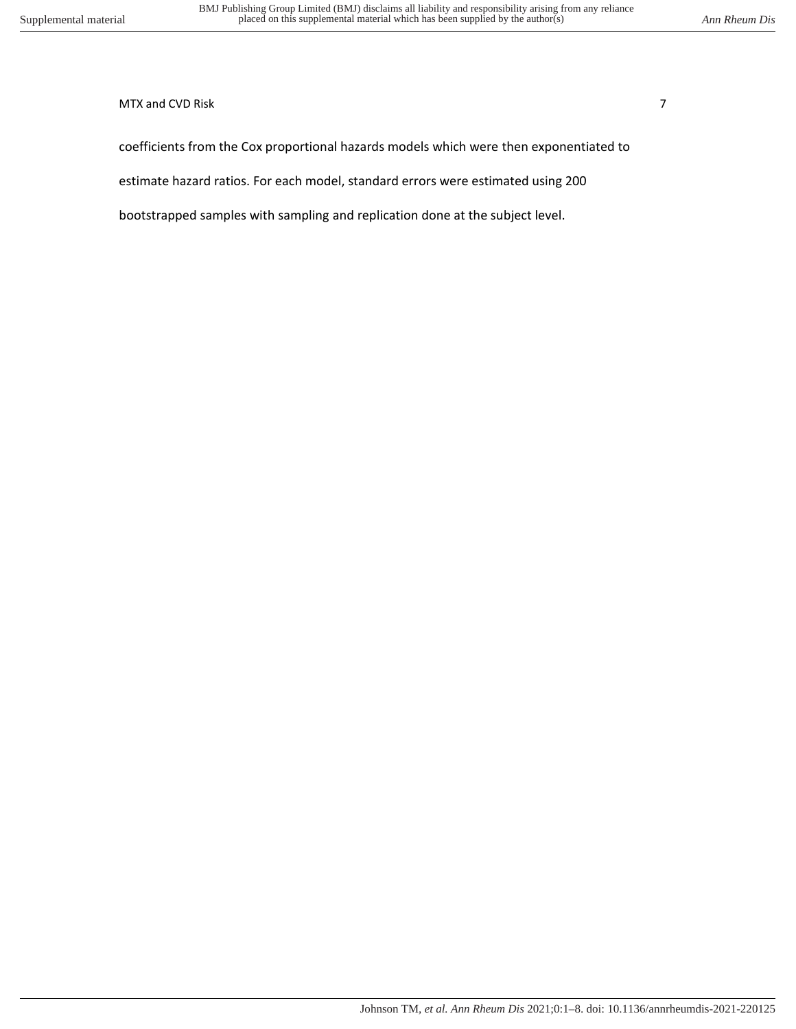## MTX and CVD Risk 7 and  $\overline{7}$

coefficients from the Cox proportional hazards models which were then exponentiated to

estimate hazard ratios. For each model, standard errors were estimated using 200

bootstrapped samples with sampling and replication done at the subject level.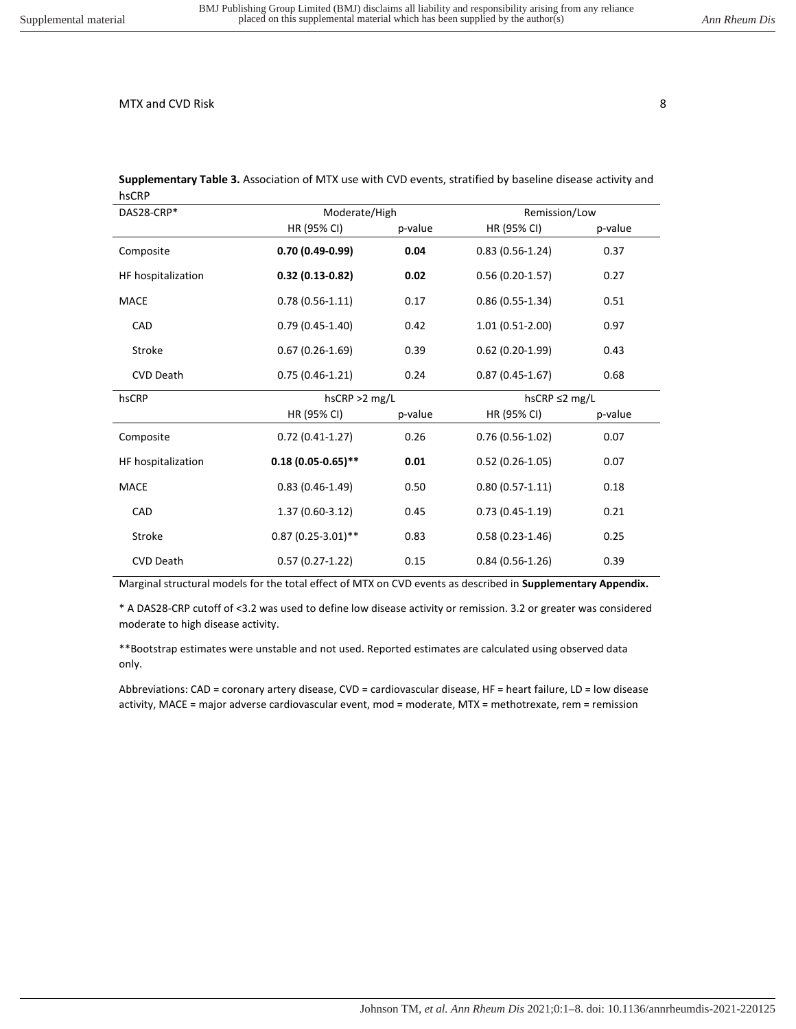| יייש               |                      |                  |                   |                     |  |
|--------------------|----------------------|------------------|-------------------|---------------------|--|
| DAS28-CRP*         |                      | Moderate/High    |                   | Remission/Low       |  |
|                    | HR (95% CI)          | p-value          | HR (95% CI)       | p-value             |  |
| Composite          | $0.70(0.49-0.99)$    | 0.04             | $0.83(0.56-1.24)$ | 0.37                |  |
| HF hospitalization | $0.32(0.13-0.82)$    | 0.02             | $0.56(0.20-1.57)$ | 0.27                |  |
| MACE               | $0.78(0.56-1.11)$    | 0.17             | $0.86(0.55-1.34)$ | 0.51                |  |
| CAD                | $0.79(0.45-1.40)$    | 0.42             | $1.01(0.51-2.00)$ | 0.97                |  |
| Stroke             | $0.67(0.26-1.69)$    | 0.39             | $0.62(0.20-1.99)$ | 0.43                |  |
| <b>CVD Death</b>   | $0.75(0.46-1.21)$    | 0.24             | $0.87(0.45-1.67)$ | 0.68                |  |
| hsCRP              |                      | $h$ sCRP >2 mg/L |                   | hsCRP $\leq$ 2 mg/L |  |
|                    | HR (95% CI)          | p-value          | HR (95% CI)       | p-value             |  |
| Composite          | $0.72(0.41-1.27)$    | 0.26             | $0.76(0.56-1.02)$ | 0.07                |  |
| HF hospitalization | $0.18(0.05-0.65)$ ** | 0.01             | $0.52(0.26-1.05)$ | 0.07                |  |
| <b>MACE</b>        | $0.83(0.46-1.49)$    | 0.50             | $0.80(0.57-1.11)$ | 0.18                |  |
| CAD                | $1.37(0.60-3.12)$    | 0.45             | $0.73(0.45-1.19)$ | 0.21                |  |
| Stroke             | $0.87(0.25-3.01)$ ** | 0.83             | $0.58(0.23-1.46)$ | 0.25                |  |
| <b>CVD Death</b>   | $0.57(0.27-1.22)$    | 0.15             | $0.84(0.56-1.26)$ | 0.39                |  |

**Supplementary Table 3.** Association of MTX use with CVD events, stratified by baseline disease activity and hsCRP

Marginal structural models for the total effect of MTX on CVD events as described in **Supplementary Appendix.**

\* A DAS28-CRP cutoff of <3.2 was used to define low disease activity or remission. 3.2 or greater was considered moderate to high disease activity.

\*\*Bootstrap estimates were unstable and not used. Reported estimates are calculated using observed data only.

Abbreviations: CAD = coronary artery disease, CVD = cardiovascular disease, HF = heart failure, LD = low disease activity, MACE = major adverse cardiovascular event, mod = moderate, MTX = methotrexate, rem = remission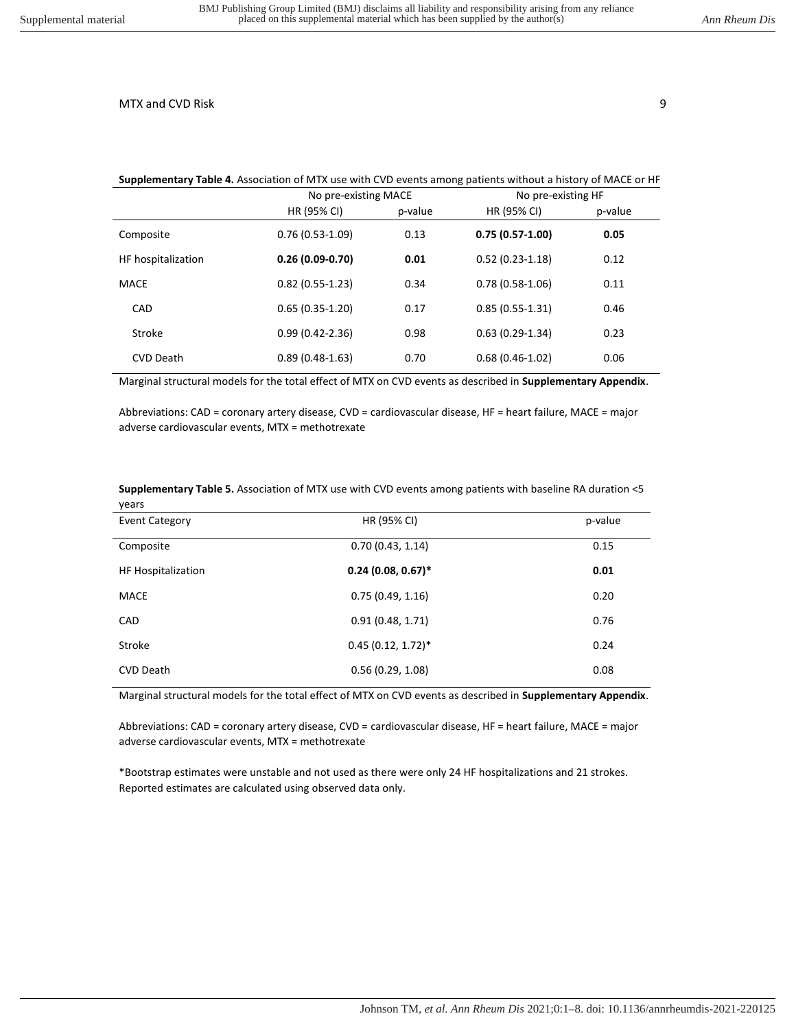#### **Supplementary Table 4.** Association of MTX use with CVD events among patients without a history of MACE or HF

|                    | No pre-existing MACE |         | No pre-existing HF |         |
|--------------------|----------------------|---------|--------------------|---------|
|                    | HR (95% CI)          | p-value | HR (95% CI)        | p-value |
| Composite          | $0.76(0.53-1.09)$    | 0.13    | $0.75(0.57-1.00)$  | 0.05    |
| HF hospitalization | $0.26(0.09-0.70)$    | 0.01    | $0.52(0.23-1.18)$  | 0.12    |
| <b>MACE</b>        | $0.82(0.55-1.23)$    | 0.34    | $0.78(0.58-1.06)$  | 0.11    |
| CAD                | $0.65(0.35-1.20)$    | 0.17    | $0.85(0.55-1.31)$  | 0.46    |
| Stroke             | $0.99(0.42 - 2.36)$  | 0.98    | $0.63(0.29-1.34)$  | 0.23    |
| <b>CVD Death</b>   | $0.89(0.48-1.63)$    | 0.70    | $0.68(0.46-1.02)$  | 0.06    |

Marginal structural models for the total effect of MTX on CVD events as described in **Supplementary Appendix**.

Abbreviations: CAD = coronary artery disease, CVD = cardiovascular disease, HF = heart failure, MACE = major adverse cardiovascular events, MTX = methotrexate

#### **Supplementary Table 5.** Association of MTX use with CVD events among patients with baseline RA duration <5 years

| <b>Event Category</b>     | HR (95% CI)          | p-value |
|---------------------------|----------------------|---------|
| Composite                 | 0.70(0.43, 1.14)     | 0.15    |
| <b>HF Hospitalization</b> | $0.24(0.08, 0.67)^*$ | 0.01    |
| <b>MACE</b>               | 0.75(0.49, 1.16)     | 0.20    |
| CAD                       | 0.91(0.48, 1.71)     | 0.76    |
| Stroke                    | $0.45(0.12, 1.72)^*$ | 0.24    |
| <b>CVD Death</b>          | 0.56(0.29, 1.08)     | 0.08    |

Marginal structural models for the total effect of MTX on CVD events as described in **Supplementary Appendix**.

Abbreviations: CAD = coronary artery disease, CVD = cardiovascular disease, HF = heart failure, MACE = major adverse cardiovascular events, MTX = methotrexate

\*Bootstrap estimates were unstable and not used as there were only 24 HF hospitalizations and 21 strokes. Reported estimates are calculated using observed data only.